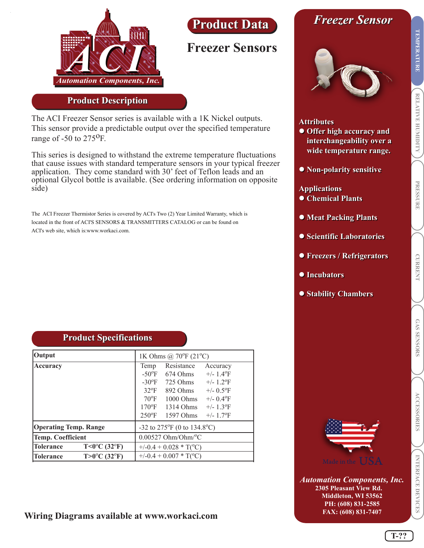

## **Product Data Product Data**

### **Freezer Sensors**

#### **Product Description**

The ACI Freezer Sensor series is available with a 1K Nickel outputs. This sensor provide a predictable output over the specified temperature range of  $-50$  to  $275$ <sup>O</sup>F.

This series is designed to withstand the extreme temperature fluctuations that cause issues with standard temperature sensors in your typical freezer application. They come standard with 30' feet of Teflon leads and an optional Glycol bottle is available. (See ordering information on opposite side)

The ACI Freezer Thermistor Series is covered by ACI's Two (2) Year Limited Warranty, which is located in the front of ACI'S SENSORS & TRANSMITTERS CATALOG or can be found on ACI's web site, which is:www.workaci.com.

# *Freezer Sensor Freezer Sensor*



#### **Attributes Attributes**

- **Offer high accuracy and Offer high accuracy and interchangeability over a interchangeability over a wide temperature range. wide temperature range.**
- **Non-polarity sensitive Non-polarity sensitive**

#### **Applications Applications**

- **Chemical Plants Chemical Plants**
- **Meat Packing Plants Meat Packing Plants**
- **Scientific Laboratories Scientific Laboratories**
- **Freezers / Refrigerators Freezers / Refrigerators**
- **Incubators Incubators**
- **Stability Chambers Stability Chambers**

|  |  | <b>Product Specifications</b> |
|--|--|-------------------------------|
|--|--|-------------------------------|

| <b>Output</b>                                                  | 1K Ohms @ 70°F $(21^{\circ}C)$    |                                                                                                                                                                      |                                                                                                                                                                                  |
|----------------------------------------------------------------|-----------------------------------|----------------------------------------------------------------------------------------------------------------------------------------------------------------------|----------------------------------------------------------------------------------------------------------------------------------------------------------------------------------|
| Accuracy                                                       | Temp<br>$32^{\circ}F$             | Resistance<br>$-50^{\circ}$ F 674 Ohms<br>$-30^{\circ}$ F 725 Ohms<br>892 Ohms<br>$70^{\circ}$ F 1000 Ohms<br>$170^{\circ}$ F 1314 Ohms<br>$250^{\circ}$ F 1597 Ohms | Accuracy<br>$+/- 1.4$ <sup>o</sup> F<br>$+/- 1.2$ <sup>o</sup> F<br>$+/- 0.5$ <sup>o</sup> F<br>$+/- 0.4$ <sup>o</sup> F<br>$+/- 1.3$ <sup>o</sup> F<br>$+/- 1.7$ <sup>o</sup> F |
| <b>Operating Temp. Range</b>                                   | $-32$ to 275°F (0 to 134.8°C)     |                                                                                                                                                                      |                                                                                                                                                                                  |
| <b>Temp. Coefficient</b>                                       | $0.00527$ Ohm/Ohm/ <sup>o</sup> C |                                                                                                                                                                      |                                                                                                                                                                                  |
| $T < 0$ <sup>o</sup> C (32 <sup>o</sup> F)<br><b>Tolerance</b> | $+/-0.4 + 0.028 * T(^{\circ}C)$   |                                                                                                                                                                      |                                                                                                                                                                                  |
| $T > 0$ <sup>o</sup> C (32 <sup>o</sup> F)<br>Tolerance        |                                   | $+/-0.4 + 0.007 * T(^{\circ}C)$                                                                                                                                      |                                                                                                                                                                                  |

#### **Wiring Diagrams available at www.workaci.com**



*Automation Components, Inc.* **2305 Pleasant View Rd. Middleton, WI 53562 PH: (608) 831-2585 FAX: (608) 831-7407**

**RELATIVE HUMIDITY TEMPERATURE**

RELATIVE HUMIDITY

**TEMPERATURE** 

**PRESSURE**

**PRESSURE** 

**CURRENT**

**CURRENT**